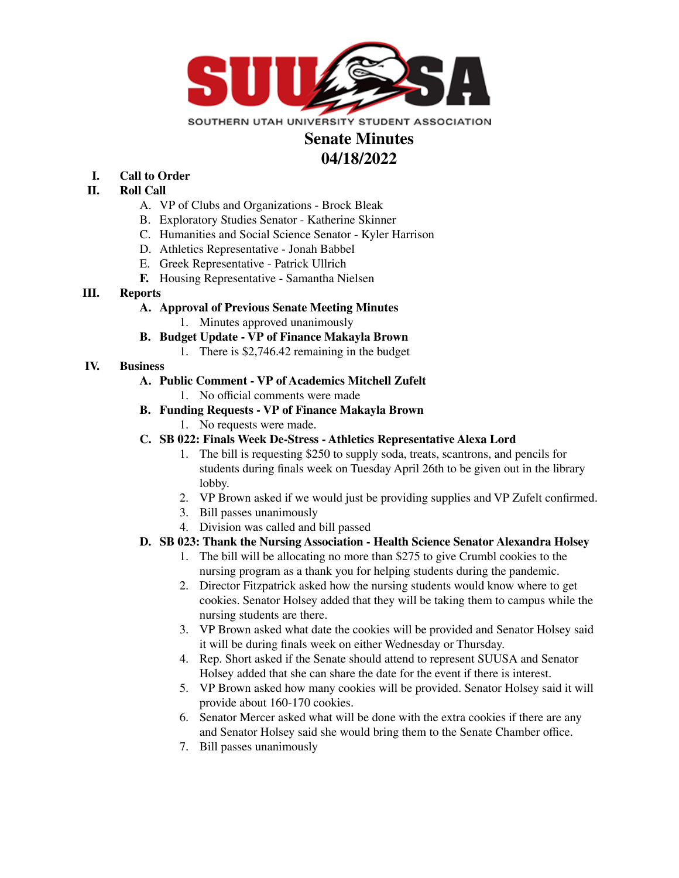

# **Senate Minutes 04/18/2022**

#### **I. Call to Order**

#### **II. Roll Call**

- A. VP of Clubs and Organizations Brock Bleak
- B. Exploratory Studies Senator Katherine Skinner
- C. Humanities and Social Science Senator Kyler Harrison
- D. Athletics Representative Jonah Babbel
- E. Greek Representative Patrick Ullrich
- **F.** Housing Representative Samantha Nielsen

# **III. Reports**

# **A. Approval of Previous Senate Meeting Minutes**

1. Minutes approved unanimously

# **B. Budget Update - VP of Finance Makayla Brown**

1. There is \$2,746.42 remaining in the budget

# **IV. Business**

# **A. Public Comment - VP of Academics Mitchell Zufelt**

1. No official comments were made

# **B. Funding Requests - VP of Finance Makayla Brown**

- 1. No requests were made.
- **C. SB 022: Finals Week De-Stress - Athletics Representative Alexa Lord**
	- 1. The bill is requesting \$250 to supply soda, treats, scantrons, and pencils for students during finals week on Tuesday April 26th to be given out in the library lobby.
	- 2. VP Brown asked if we would just be providing supplies and VP Zufelt confirmed.
	- 3. Bill passes unanimously
	- 4. Division was called and bill passed

#### **D. SB 023: Thank the Nursing Association - Health Science Senator Alexandra Holsey**

- 1. The bill will be allocating no more than \$275 to give Crumbl cookies to the nursing program as a thank you for helping students during the pandemic.
- 2. Director Fitzpatrick asked how the nursing students would know where to get cookies. Senator Holsey added that they will be taking them to campus while the nursing students are there.
- 3. VP Brown asked what date the cookies will be provided and Senator Holsey said it will be during finals week on either Wednesday or Thursday.
- 4. Rep. Short asked if the Senate should attend to represent SUUSA and Senator Holsey added that she can share the date for the event if there is interest.
- 5. VP Brown asked how many cookies will be provided. Senator Holsey said it will provide about 160-170 cookies.
- 6. Senator Mercer asked what will be done with the extra cookies if there are any and Senator Holsey said she would bring them to the Senate Chamber office.
- 7. Bill passes unanimously